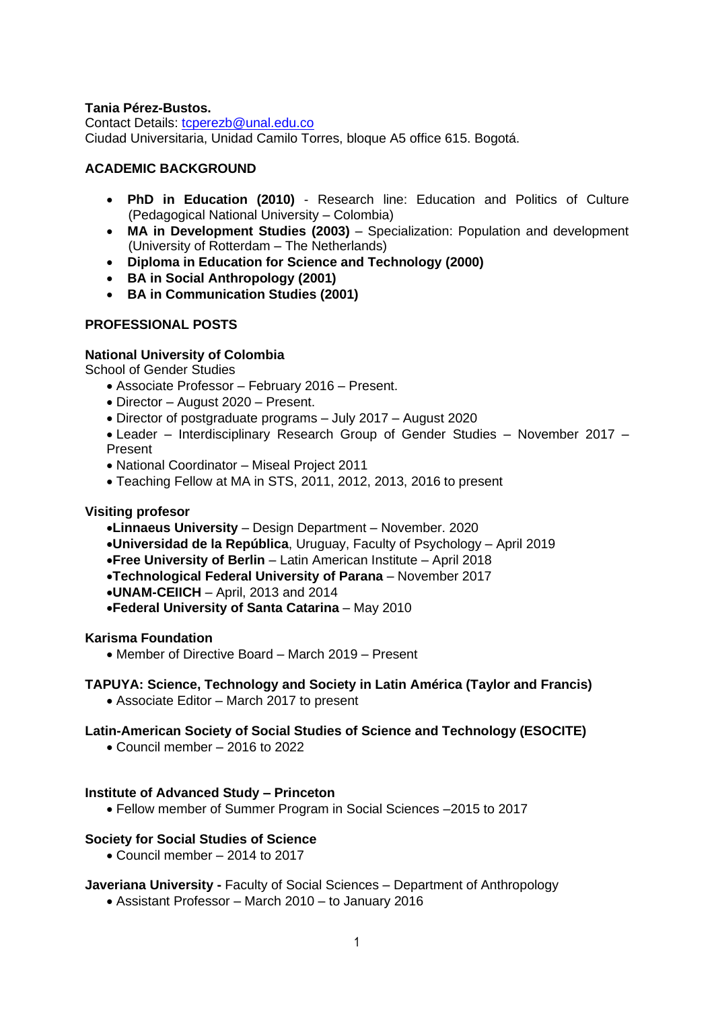## **Tania Pérez-Bustos.**

Contact Details: [tcperezb@unal.edu.co](mailto:tcperezb@unal.edu.co) Ciudad Universitaria, Unidad Camilo Torres, bloque A5 office 615. Bogotá.

### **ACADEMIC BACKGROUND**

- **PhD in Education (2010)** Research line: Education and Politics of Culture (Pedagogical National University – Colombia)
- **MA in Development Studies (2003)** Specialization: Population and development (University of Rotterdam – The Netherlands)
- **Diploma in Education for Science and Technology (2000)**
- **BA in Social Anthropology (2001)**
- **BA in Communication Studies (2001)**

## **PROFESSIONAL POSTS**

## **National University of Colombia**

School of Gender Studies

- Associate Professor February 2016 Present.
- Director August 2020 Present.
- Director of postgraduate programs July 2017 August 2020

• Leader – Interdisciplinary Research Group of Gender Studies – November 2017 – Present

- National Coordinator Miseal Project 2011
- Teaching Fellow at MA in STS, 2011, 2012, 2013, 2016 to present

#### **Visiting profesor**

- •**Linnaeus University** Design Department November. 2020
- •**Universidad de la República**, Uruguay, Faculty of Psychology April 2019
- •**Free University of Berlin** Latin American Institute April 2018
- •**Technological Federal University of Parana** November 2017
- •**UNAM-CEIICH** April, 2013 and 2014
- •**Federal University of Santa Catarina** May 2010

#### **Karisma Foundation**

• Member of Directive Board – March 2019 – Present

## **TAPUYA: Science, Technology and Society in Latin América (Taylor and Francis)**

• Associate Editor – March 2017 to present

## **Latin-American Society of Social Studies of Science and Technology (ESOCITE)**

• Council member – 2016 to 2022

#### **Institute of Advanced Study – Princeton**

• Fellow member of Summer Program in Social Sciences –2015 to 2017

#### **Society for Social Studies of Science**

• Council member – 2014 to 2017

## **Javeriana University -** Faculty of Social Sciences – Department of Anthropology

• Assistant Professor – March 2010 – to January 2016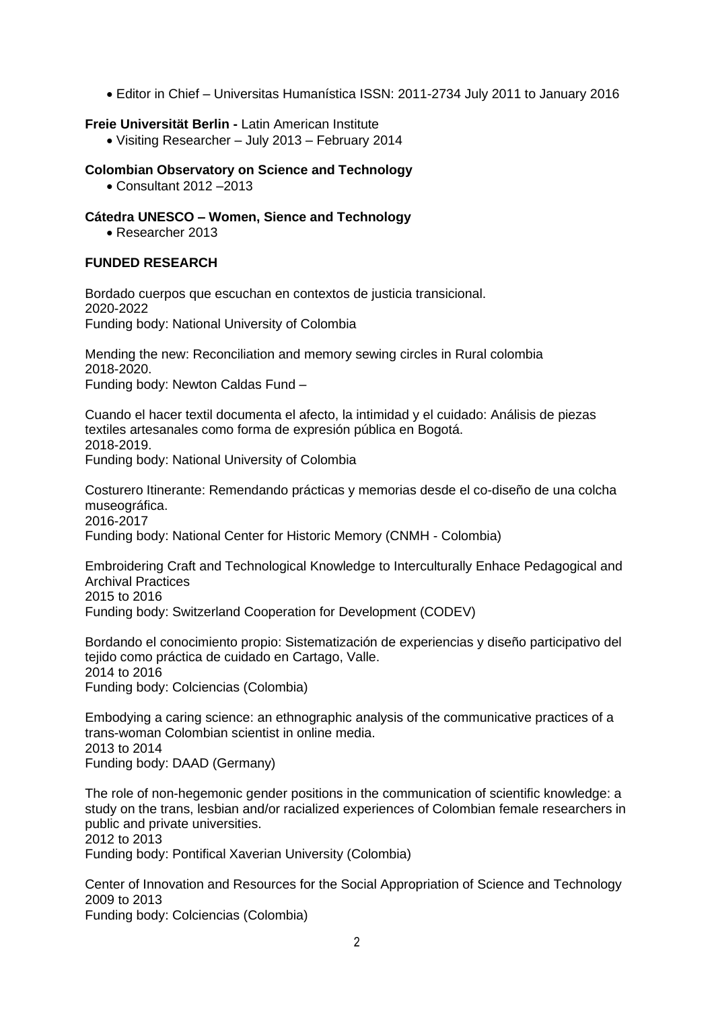• Editor in Chief – Universitas Humanística ISSN: 2011-2734 July 2011 to January 2016

## **Freie Universität Berlin -** Latin American Institute

• Visiting Researcher – July 2013 – February 2014

## **Colombian Observatory on Science and Technology**

• Consultant 2012 –2013

## **Cátedra UNESCO – Women, Sience and Technology**

• Researcher 2013

# **FUNDED RESEARCH**

Bordado cuerpos que escuchan en contextos de justicia transicional. 2020-2022 Funding body: National University of Colombia

Mending the new: Reconciliation and memory sewing circles in Rural colombia 2018-2020. Funding body: Newton Caldas Fund –

Cuando el hacer textil documenta el afecto, la intimidad y el cuidado: Análisis de piezas textiles artesanales como forma de expresión pública en Bogotá. 2018-2019. Funding body: National University of Colombia

Costurero Itinerante: Remendando prácticas y memorias desde el co-diseño de una colcha museográfica. 2016-2017 Funding body: National Center for Historic Memory (CNMH - Colombia)

Embroidering Craft and Technological Knowledge to Interculturally Enhace Pedagogical and Archival Practices 2015 to 2016 Funding body: Switzerland Cooperation for Development (CODEV)

Bordando el conocimiento propio: Sistematización de experiencias y diseño participativo del tejido como práctica de cuidado en Cartago, Valle. 2014 to 2016 Funding body: Colciencias (Colombia)

Embodying a caring science: an ethnographic analysis of the communicative practices of a trans-woman Colombian scientist in online media. 2013 to 2014 Funding body: DAAD (Germany)

The role of non-hegemonic gender positions in the communication of scientific knowledge: a study on the trans, lesbian and/or racialized experiences of Colombian female researchers in public and private universities. 2012 to 2013 Funding body: Pontifical Xaverian University (Colombia)

Center of Innovation and Resources for the Social Appropriation of Science and Technology 2009 to 2013 Funding body: Colciencias (Colombia)